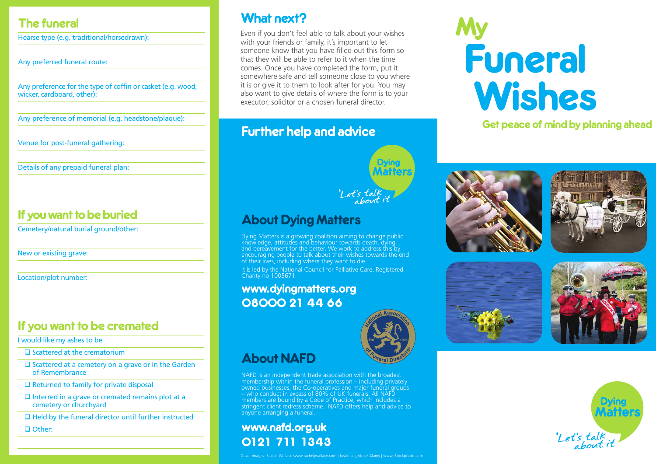## The funeral

Hearse type (e.g. traditional/horsedrawn):

Any preferred funeral route:

Any preference for the type of coffin or casket (e.g. wood, wicker, cardboard, other):

Any preference of memorial (e.g. headstone/plaque):

Venue for post-funeral gathering:

Details of any prepaid funeral plan:

## If you want to be buried

Cemetery/natural burial ground/other:

New or existing grave:

Location/plot number:

## If you want to be cremated

I would like my ashes to be

 $\square$  Scattered at the crematorium

 $\square$  Scattered at a cemetery on a grave or in the Garden of Remembrance

 $\Box$  Returned to family for private disposal

 $\Box$  Interred in a grave or cremated remains plot at a cemetery or churchyard

 $\Box$  Held by the funeral director until further instructed

□ Other:

## What next?

Even if you don't feel able to talk about your wishes with your friends or family, it's important to let someone know that you have filled out this form so that they will be able to refer to it when the time comes. Once you have completed the form, put it somewhere safe and tell someone close to you where it is or give it to them to look after for you. You may also want to give details of where the form is to your executor, solicitor or a chosen funeral director.

## Further help and advice



## About Dying Matters

Dying Matters is a growing coalition aiming to change public knowledge, attitudes and behaviour towards death, dying and bereavement for the better. We work to address this by encouraging people to talk about their wishes towards the end of their lives, including where they want to die.

It is led by the National Council for Palliative Care, Registered Charity no 1005671.

## www.dyingmatters.org 08000 21 44 66



## About NAFD

NAFD is an independent trade association with the broadest membership within the funeral profession – including privately owned businesses, the Co-operatives and major funeral groups – who conduct in excess of 80% of UK funerals. All NAFD members are bound by a Code of Practice, which includes a stringent client redress scheme. NAFD offers help and advice to anyone arranging a funeral.

## www.nafd.org.uk 0121 711 1343

# My Funeral Wishes

## Get peace of mind by planning ahead